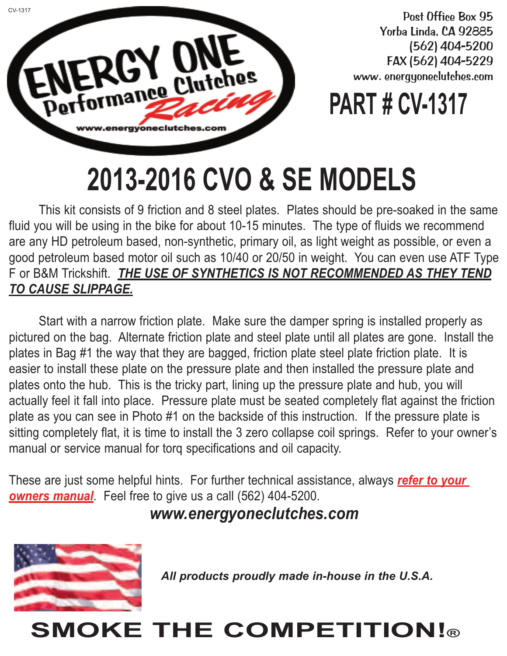

Post Office Box 95 Yorba Linda, CA 92885 (562) 404-5200 FAX (562) 404-5229 www. energyoneclutches.com

## **PART # CV-1317**

## **2013-2016 CVO & SE MODELS**

This kit consists of 9 friction and 8 steel plates. Plates should be pre-soaked in the same fluid you will be using in the bike for about 10-15 minutes. The type of fluids we recommend are any HD petroleum based, non-synthetic, primary oil, as light weight as possible, or even a good petroleum based motor oil such as 10/40 or 20/50 in weight. You can even use ATF Type F or B&M Trickshift. *THE USE OF SYNTHETICS IS NOT RECOMMENDED AS THEY TEND TO CAUSE SLIPPAGE.*

Start with a narrow friction plate. Make sure the damper spring is installed properly as pictured on the bag. Alternate friction plate and steel plate until all plates are gone. Install the plates in Bag #1 the way that they are bagged, friction plate steel plate friction plate. It is easier to install these plate on the pressure plate and then installed the pressure plate and plates onto the hub. This is the tricky part, lining up the pressure plate and hub, you will actually feel it fall into place. Pressure plate must be seated completely flat against the friction plate as you can see in Photo #1 on the backside of this instruction. If the pressure plate is sitting completely flat, it is time to install the 3 zero collapse coil springs. Refer to your owner's manual or service manual for torq specifications and oil capacity.

These are just some helpful hints. For further technical assistance, always *refer to your owners manual*. Feel free to give us a call (562) 404-5200.

*www.energyoneclutches.com*



*All products proudly made in-house in the U.S.A.*

## **SMOKE THE COMPETITION!®**